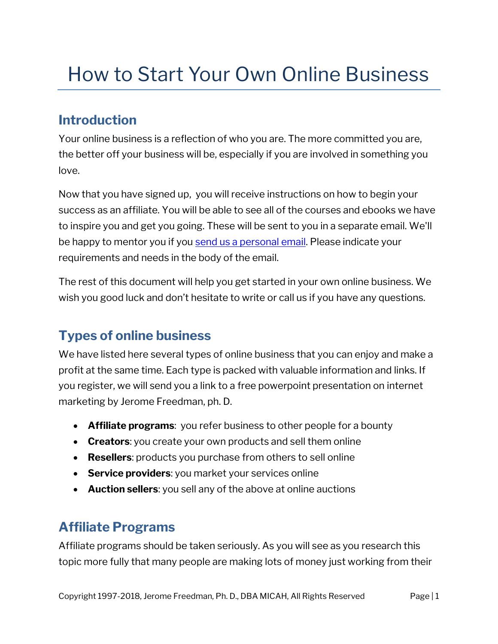# How to Start Your Own Online Business

## **Introduction**

Your online business is a reflection of who you are. The more committed you are, the better off your business will be, especially if you are involved in something you love.

Now that you have signed up, you will receive instructions on how to begin your success as an affiliate. You will be able to see all of the courses and ebooks we have to inspire you and get you going. These will be sent to you in a separate email. We'll be happy to mentor you if you [send us a personal email.](mailto:jerome@micah-affiliates.com?subject=Mentor) Please indicate your requirements and needs in the body of the email.

The rest of this document will help you get started in your own online business. We wish you good luck and don't hesitate to write or call us if you have any questions.

# **Types of online business**

We have listed here several types of online business that you can enjoy and make a profit at the same time. Each type is packed with valuable information and links. If you register, we will send you a link to a free powerpoint presentation on internet marketing by Jerome Freedman, ph. D.

- **Affiliate programs**: you refer business to other people for a bounty
- **Creators**: you create your own products and sell them online
- **Resellers**: products you purchase from others to sell online
- **Service providers**: you market your services online
- **Auction sellers**: you sell any of the above at online auctions

## **Affiliate Programs**

Affiliate programs should be taken seriously. As you will see as you research this topic more fully that many people are making lots of money just working from their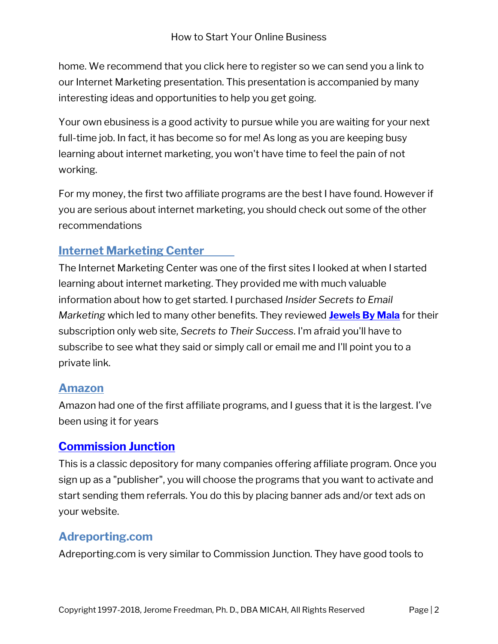home. We recommend that you click here to register so we can send you a link to our Internet Marketing presentation. This presentation is accompanied by many interesting ideas and opportunities to help you get going.

Your own ebusiness is a good activity to pursue while you are waiting for your next full-time job. In fact, it has become so for me! As long as you are keeping busy learning about internet marketing, you won't have time to feel the pain of not working.

For my money, the first two affiliate programs are the best I have found. However if you are serious about internet marketing, you should check out some of the other recommendations

## **[Internet Marketing Center](http://www.marketingtips.com/t.cgi/809224/)**

The Internet Marketing Center was one of the first sites I looked at when I started learning about internet marketing. They provided me with much valuable information about how to get started. I purchased *Insider Secrets to Email Marketing* which led to many other benefits. They reviewed **[Jewels By Mala](http://m.jewelsbymala.com/)** for their subscription only web site, *Secrets to Their Success*. I'm afraid you'll have to subscribe to see what they said or simply call or email me and I'll point you to a private link.

#### **[Amazon](https://www.amazon.com/tryab?tag=microapplicah-20)**

Amazon had one of the first affiliate programs, and I guess that it is the largest. I've been using it for years

#### **[Commission Junction](http://cj.com/?id=4785012)**

This is a classic depository for many companies offering affiliate program. Once you sign up as a "publisher", you will choose the programs that you want to activate and start sending them referrals. You do this by placing banner ads and/or text ads on your website.

## **Adreporting.com**

Adreporting.com is very similar to Commission Junction. They have good tools to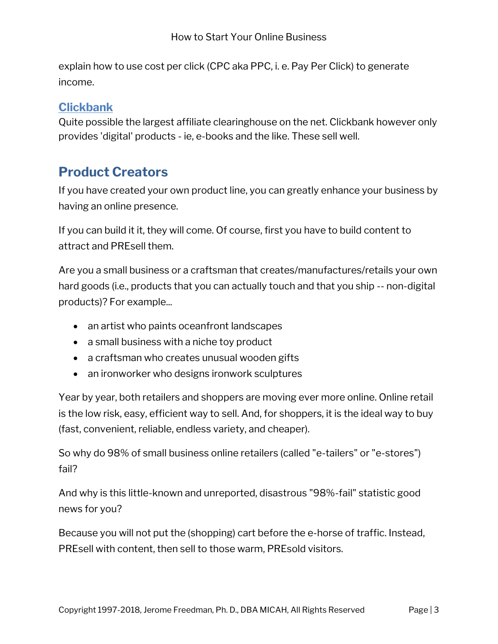explain how to use cost per click (CPC aka PPC, i. e. Pay Per Click) to generate income.

#### **[Clickbank](http://sninad.reseller.hop.clickbank.net/)**

Quite possible the largest affiliate clearinghouse on the net. Clickbank however only provides 'digital' products - ie, e-books and the like. These sell well.

## **Product Creators**

If you have created your own product line, you can greatly enhance your business by having an online presence.

If you can build it it, they will come. Of course, first you have to build content to attract and PREsell them.

Are you a small business or a craftsman that creates/manufactures/retails your own hard goods (i.e., products that you can actually touch and that you ship -- non-digital products)? For example...

- an artist who paints oceanfront landscapes
- a small business with a niche toy product
- a craftsman who creates unusual wooden gifts
- an ironworker who designs ironwork sculptures

Year by year, both retailers and shoppers are moving ever more online. Online retail is the low risk, easy, efficient way to sell. And, for shoppers, it is the ideal way to buy (fast, convenient, reliable, endless variety, and cheaper).

So why do 98% of small business online retailers (called "e-tailers" or "e-stores") fail?

And why is this little-known and unreported, disastrous "98%-fail" statistic good news for you?

Because you will not put the (shopping) cart before the e-horse of traffic. Instead, PREsell with content, then sell to those warm, PREsold visitors.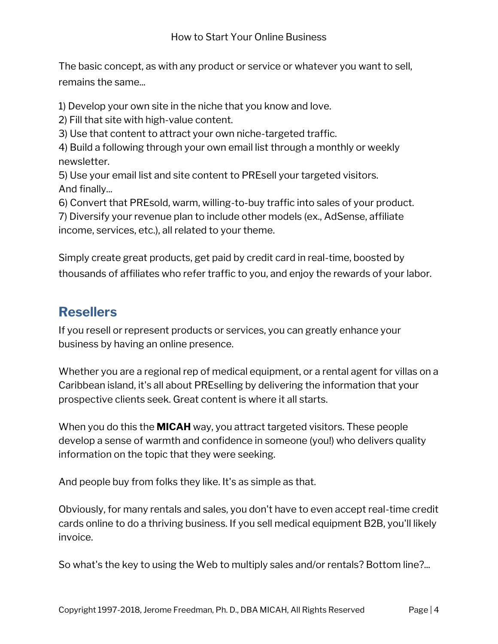The basic concept, as with any product or service or whatever you want to sell, remains the same...

1) Develop your own site in the niche that you know and love.

2) Fill that site with high-value content.

3) Use that content to attract your own niche-targeted traffic.

4) Build a following through your own email list through a monthly or weekly newsletter.

5) Use your email list and site content to PREsell your targeted visitors. And finally...

6) Convert that PREsold, warm, willing-to-buy traffic into sales of your product.

7) Diversify your revenue plan to include other models (ex., AdSense, affiliate income, services, etc.), all related to your theme.

Simply create great products, get paid by credit card in real-time, boosted by thousands of affiliates who refer traffic to you, and enjoy the rewards of your labor.

## **Resellers**

If you resell or represent products or services, you can greatly enhance your business by having an online presence.

Whether you are a regional rep of medical equipment, or a rental agent for villas on a Caribbean island, it's all about PREselling by delivering the information that your prospective clients seek. Great content is where it all starts.

When you do this the **MICAH** way, you attract targeted visitors. These people develop a sense of warmth and confidence in someone (you!) who delivers quality information on the topic that they were seeking.

And people buy from folks they like. It's as simple as that.

Obviously, for many rentals and sales, you don't have to even accept real-time credit cards online to do a thriving business. If you sell medical equipment B2B, you'll likely invoice.

So what's the key to using the Web to multiply sales and/or rentals? Bottom line?...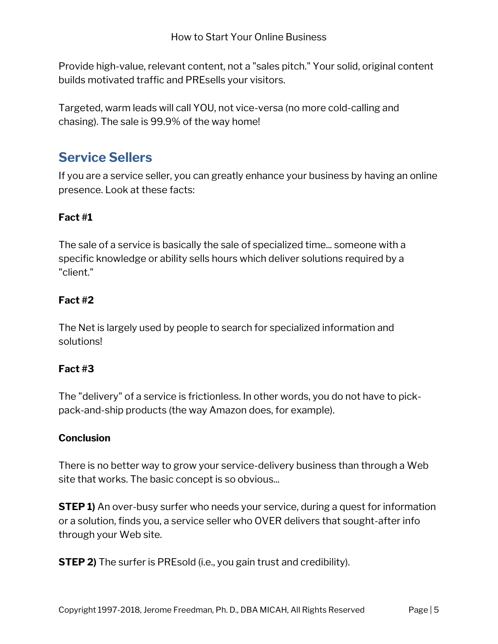Provide high-value, relevant content, not a "sales pitch." Your solid, original content builds motivated traffic and PREsells your visitors.

Targeted, warm leads will call YOU, not vice-versa (no more cold-calling and chasing). The sale is 99.9% of the way home!

## **Service Sellers**

If you are a service seller, you can greatly enhance your business by having an online presence. Look at these facts:

#### **Fact #1**

The sale of a service is basically the sale of specialized time... someone with a specific knowledge or ability sells hours which deliver solutions required by a "client."

#### **Fact #2**

The Net is largely used by people to search for specialized information and solutions!

#### **Fact #3**

The "delivery" of a service is frictionless. In other words, you do not have to pickpack-and-ship products (the way Amazon does, for example).

#### **Conclusion**

There is no better way to grow your service-delivery business than through a Web site that works. The basic concept is so obvious...

**STEP 1)** An over-busy surfer who needs your service, during a quest for information or a solution, finds you, a service seller who OVER delivers that sought-after info through your Web site.

**STEP 2)** The surfer is PREsold (i.e., you gain trust and credibility).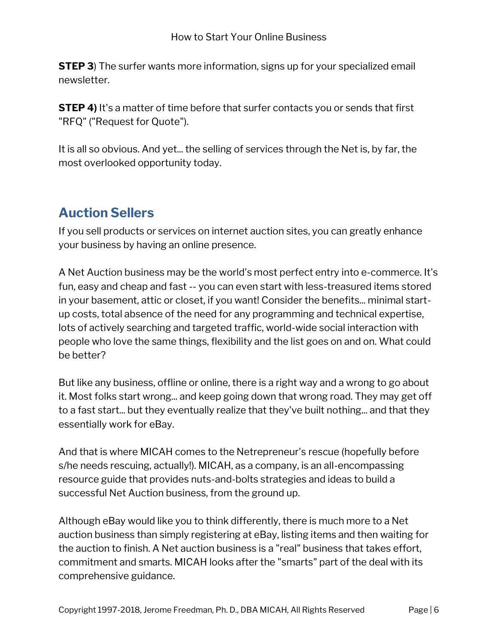**STEP 3**) The surfer wants more information, signs up for your specialized email newsletter.

**STEP 4)** It's a matter of time before that surfer contacts you or sends that first "RFQ" ("Request for Quote").

It is all so obvious. And yet... the selling of services through the Net is, by far, the most overlooked opportunity today.

## **Auction Sellers**

If you sell products or services on internet auction sites, you can greatly enhance your business by having an online presence.

A Net Auction business may be the world's most perfect entry into e-commerce. It's fun, easy and cheap and fast -- you can even start with less-treasured items stored in your basement, attic or closet, if you want! Consider the benefits... minimal startup costs, total absence of the need for any programming and technical expertise, lots of actively searching and targeted traffic, world-wide social interaction with people who love the same things, flexibility and the list goes on and on. What could be better?

But like any business, offline or online, there is a right way and a wrong to go about it. Most folks start wrong... and keep going down that wrong road. They may get off to a fast start... but they eventually realize that they've built nothing... and that they essentially work for eBay.

And that is where MICAH comes to the Netrepreneur's rescue (hopefully before s/he needs rescuing, actually!). MICAH, as a company, is an all-encompassing resource guide that provides nuts-and-bolts strategies and ideas to build a successful Net Auction business, from the ground up.

Although eBay would like you to think differently, there is much more to a Net auction business than simply registering at eBay, listing items and then waiting for the auction to finish. A Net auction business is a "real" business that takes effort, commitment and smarts. MICAH looks after the "smarts" part of the deal with its comprehensive guidance.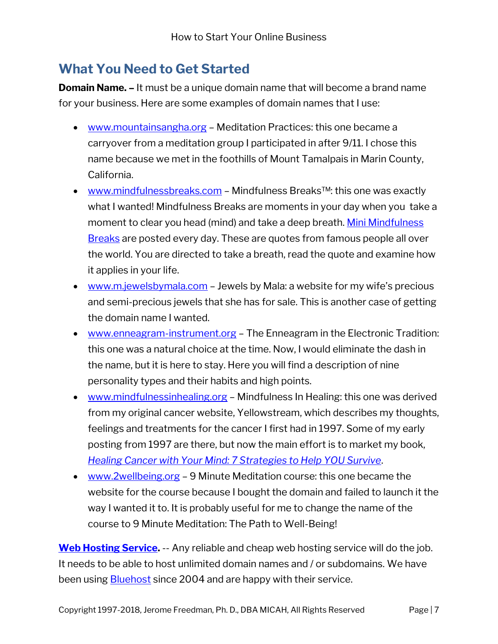## **What You Need to Get Started**

**Domain Name. –** It must be a unique domain name that will become a brand name for your business. Here are some examples of domain names that I use:

- [www.mountainsangha.org](http://www.mountainsangha.org/) Meditation Practices: this one became a carryover from a meditation group I participated in after 9/11. I chose this name because we met in the foothills of Mount Tamalpais in Marin County, California.
- [www.mindfulnessbreaks.com](http://www.mindfulnessbreaks.com/) Mindfulness Breaks™: this one was exactly what I wanted! Mindfulness Breaks are moments in your day when you take a moment to clear you head (mind) and take a deep breath. Mini Mindfulness [Breaks](http://mindfulnessbreaks.com/blog) are posted every day. These are quotes from famous people all over the world. You are directed to take a breath, read the quote and examine how it applies in your life.
- [www.m.jewelsbymala.com](http://www.m.jewelsbymala.com/) Jewels by Mala: a website for my wife's precious and semi-precious jewels that she has for sale. This is another case of getting the domain name I wanted.
- [www.enneagram-instrument.org](http://www.enneagram-instrument.org/) The Enneagram in the Electronic Tradition: this one was a natural choice at the time. Now, I would eliminate the dash in the name, but it is here to stay. Here you will find a description of nine personality types and their habits and high points.
- [www.mindfulnessinhealing.org](http://www.mindfulnessinhealing.org/) Mindfulness In Healing: this one was derived from my original cancer website, Yellowstream, which describes my thoughts, feelings and treatments for the cancer I first had in 1997. Some of my early posting from 1997 are there, but now the main effort is to market my book, *[Healing Cancer with Your Mind: 7 Strategies to Help YOU Survive](http://mindfulnessinhealing.org/)*.
- <www.2wellbeing.org> 9 Minute Meditation course: this one became the website for the course because I bought the domain and failed to launch it the way I wanted it to. It is probably useful for me to change the name of the course to 9 Minute Meditation: The Path to Well-Being!

**[Web Hosting Service.](http://www.bluehost.com/track/jewelsby/micah)** -- Any reliable and cheap web hosting service will do the job. It needs to be able to host unlimited domain names and / or subdomains. We have been using **Bluehost** since 2004 and are happy with their service.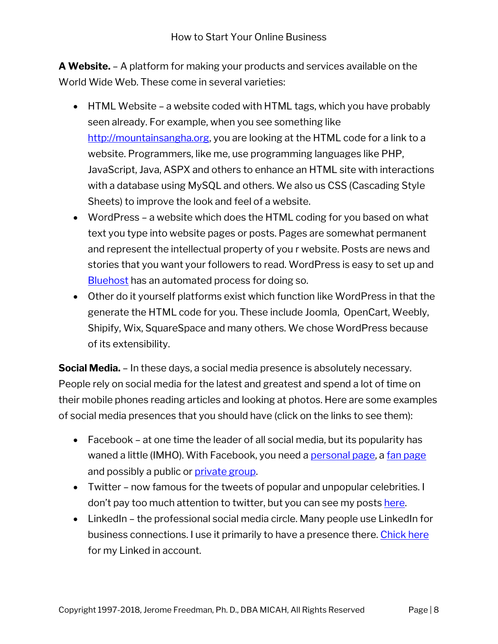**A Website.** – A platform for making your products and services available on the World Wide Web. These come in several varieties:

- HTML Website a website coded with HTML tags, which you have probably seen already. For example, when you see something like [http://mountainsangha.org,](http://mountainsangha.org/) you are looking at the HTML code for a link to a website. Programmers, like me, use programming languages like PHP, JavaScript, Java, ASPX and others to enhance an HTML site with interactions with a database using MySQL and others. We also us CSS (Cascading Style Sheets) to improve the look and feel of a website.
- WordPress a website which does the HTML coding for you based on what text you type into website pages or posts. Pages are somewhat permanent and represent the intellectual property of you r website. Posts are news and stories that you want your followers to read. WordPress is easy to set up and **[Bluehost](http://www.bluehost.com/track/jewelsby/micah)** has an automated process for doing so.
- Other do it yourself platforms exist which function like WordPress in that the generate the HTML code for you. These include Joomla, OpenCart, Weebly, Shipify, Wix, SquareSpace and many others. We chose WordPress because of its extensibility.

**Social Media.** – In these days, a social media presence is absolutely necessary. People rely on social media for the latest and greatest and spend a lot of time on their mobile phones reading articles and looking at photos. Here are some examples of social media presences that you should have (click on the links to see them):

- Facebook at one time the leader of all social media, but its popularity has waned a little (IMHO). With Facebook, you need a [personal page,](https://facebook.com/jerome.freedman) a [fan page](https://facebook.com/MindfulnessBreaks) and possibly a public or [private group.](https://www.facebook.com/groups/7.Principles.Mindfulness/)
- Twitter now famous for the tweets of popular and unpopular celebrities. I don't pay too much attention to twitter, but you can see my posts [here.](https://twitter.com/premmala)
- LinkedIn the professional social media circle. Many people use LinkedIn for business connections. I use it primarily to have a presence there[. Chick here](https://www.linkedin.com/in/jeromefreedman/) for my Linked in account.